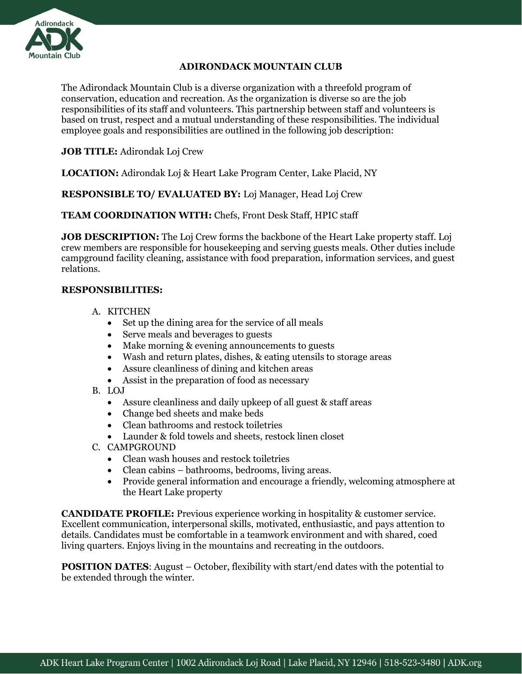

## **ADIRONDACK MOUNTAIN CLUB**

The Adirondack Mountain Club is a diverse organization with a threefold program of conservation, education and recreation. As the organization is diverse so are the job responsibilities of its staff and volunteers. This partnership between staff and volunteers is based on trust, respect and a mutual understanding of these responsibilities. The individual employee goals and responsibilities are outlined in the following job description:

**JOB TITLE:** Adirondak Loj Crew

**LOCATION:** Adirondak Loj & Heart Lake Program Center, Lake Placid, NY

**RESPONSIBLE TO/ EVALUATED BY:** Loj Manager, Head Loj Crew

**TEAM COORDINATION WITH:** Chefs, Front Desk Staff, HPIC staff

**JOB DESCRIPTION:** The Loj Crew forms the backbone of the Heart Lake property staff. Loj crew members are responsible for housekeeping and serving guests meals. Other duties include campground facility cleaning, assistance with food preparation, information services, and guest relations.

## **RESPONSIBILITIES:**

- A. KITCHEN
	- Set up the dining area for the service of all meals
	- Serve meals and beverages to guests
	- Make morning & evening announcements to guests
	- Wash and return plates, dishes, & eating utensils to storage areas
	- Assure cleanliness of dining and kitchen areas
	- Assist in the preparation of food as necessary
- B. LOJ
	- Assure cleanliness and daily upkeep of all guest & staff areas
	- Change bed sheets and make beds
	- Clean bathrooms and restock toiletries
	- Launder & fold towels and sheets, restock linen closet
- C. CAMPGROUND
	- Clean wash houses and restock toiletries
	- Clean cabins bathrooms, bedrooms, living areas.
	- Provide general information and encourage a friendly, welcoming atmosphere at the Heart Lake property

**CANDIDATE PROFILE:** Previous experience working in hospitality & customer service. Excellent communication, interpersonal skills, motivated, enthusiastic, and pays attention to details. Candidates must be comfortable in a teamwork environment and with shared, coed living quarters. Enjoys living in the mountains and recreating in the outdoors.

**POSITION DATES:** August – October, flexibility with start/end dates with the potential to be extended through the winter.